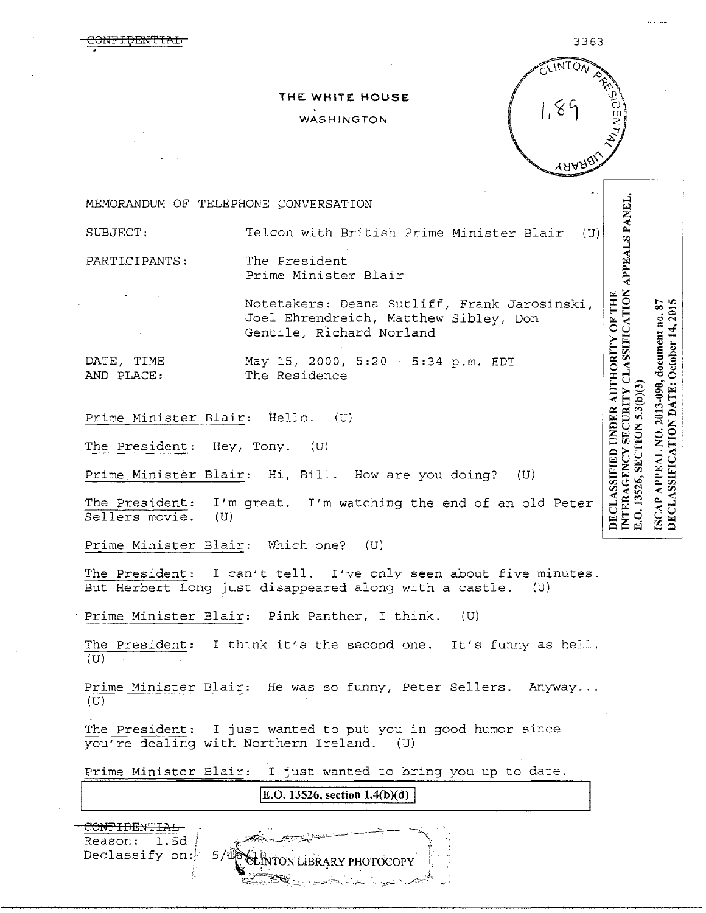$\overline{\text{ONF1}}$ DENTIAL 3363

NTERAGENCY SECURITY CLASSIFICATION APPEALS PANEL,

DECLASSIFICATION DATE: October 14, 2015

ISCAP APPEAL NO. 2013-090, document no. SECTION 5.3(b)(3)

E.O. 13526,

 $87$ 

DECLASSIFIED UNDER AUTHORITY OF THE

## **THE WHITE HOUSE**  WASHINGTON



MEMORANDUM OF TELEPHONE CONVERSATION

SUBJECT: Telcon with British Prime Minister Blair (U)

PARTLCIPANTS: The President Prime Minister Blair

> Notetakers: Deana Sutliff, Frank Jarosins ki, Joel Ehrendreich, Matthew Sibley, Don Gentile, Richard Norland

DATE, TIME AND PLACE: May 15, 2000, 5:20 - 5:34 p.m. EDT The Residence

Prime Minister Blair: Hello. (U)

The President: Hey, Tony. (U)

Prime Minister Blair: Hi, Bill. How are you doing? (U)

The President: I'm great. I'm watching the end of an old Peter Sellers movie.  $(U)$ Sellers movie.

Prime Minister Blair: Which one? (U)

The President: I can't tell. I've only seen about five minutes. But Herbert Long just disappeared along with a castle. (U)

Prime Minister Blair: Pink Panther, I think. (U)

The President: I think it's the second one. It's funny as hell. (U)

Prime Minister Blair: He was so funny, Peter Sellers. Anyway... (U)

The President: I just wanted to put you in good humor since you're dealing with Northern Ireland. (U)

Prime Minister Blair: I just wanted to bring you up to date.

**IE.O. 13526, section 1.4(b)(d)** 

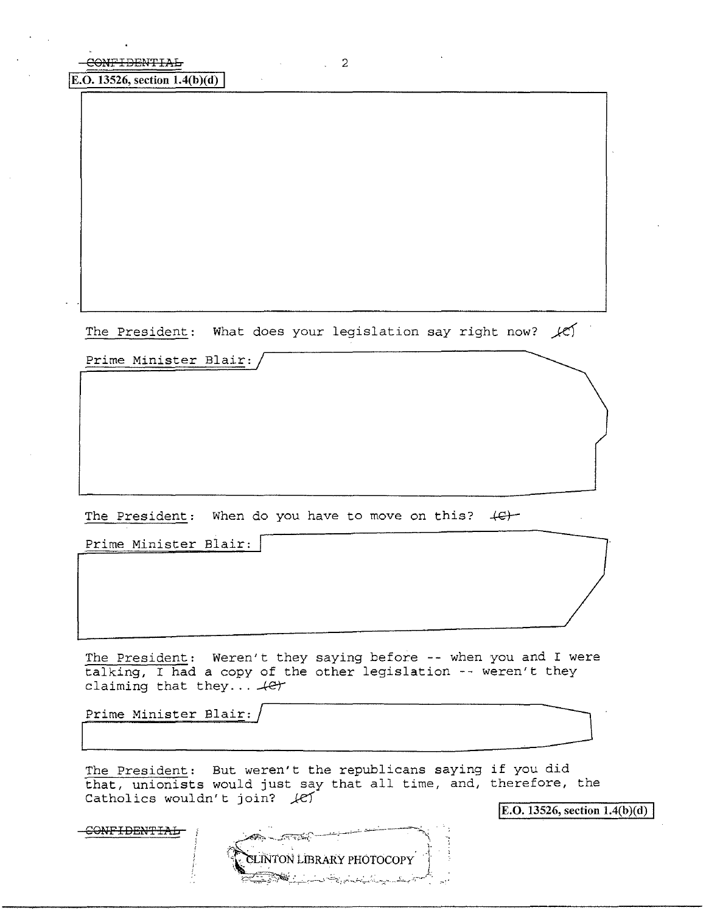The President: What does your legislation say right now?  $\chi$ 

 $\sim$   $\sim$  2

Prime Minister Blair:

The President: When do you have to move on this? (C)

Prime Minister Blair: |

The President: Weren't they saying before -- when you and I were talking, I had a copy of the other legislation -- weren't they claiming that they...  $4e^+$ 

Prime Minister Blair:

The President: But weren't the republicans saying if you did that, unionists would just say that all time, and, therefore, the Catholics wouldn't join? let

E.O. 13526, section  $1.4(b)(d)$ 

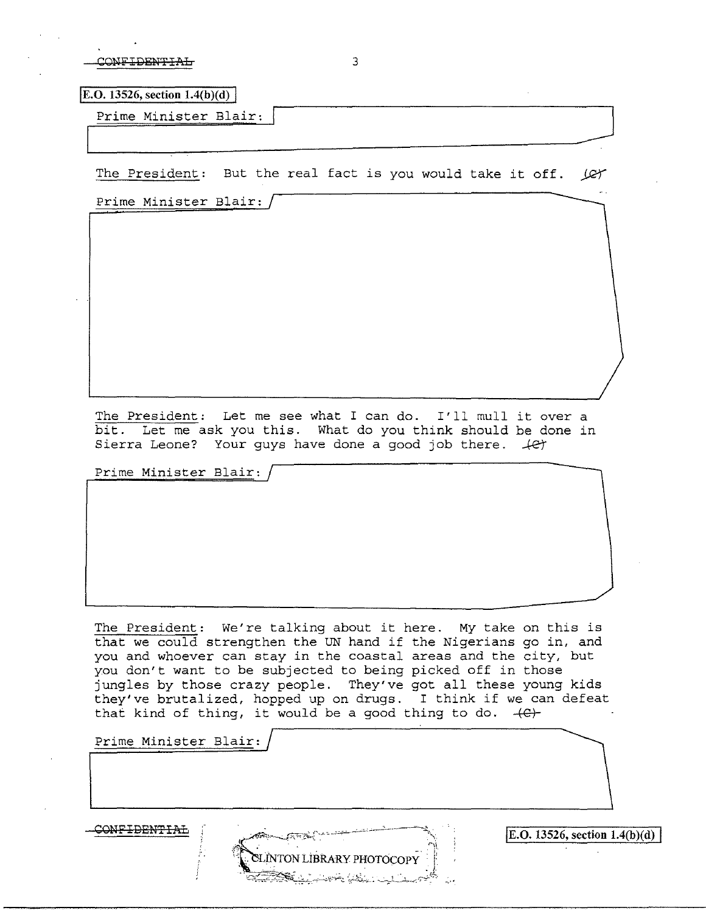| COMEIDEM <del>LINT</del> |  |
|--------------------------|--|
|                          |  |

E.O. 13526, section  $1.4(b)(d)$ 

Prime Minister Blair:

The President: But the real fact is you would take it off. (CY

L\_\_~~~~~~~~---\_\_-J

Prime Minister Blair:

The President: Let me see what I can do. I'll mull it over a bit. Let me ask you this. What do you think should be done in Sierra Leone? Your guys have done a good job there.  $\sqrt{ct}$ 

Prime Minister Blair:

The President: We're talking about it here. My take on this is that we could strengthen the UN hand if the Nigerians go in, and you and whoever can stay in the coastal areas and the city, but you don't want to be subjected to being picked off in those jungles by those crazy people. They've got all these young kids they've brutalized, hopped up on drugs. I think if we can defeat that kind of thing, it would be a good thing to do.  $+e$ .

**LINTON LIBRARY PHOTOCOPY** 

Prime Minister Blair:

 $\overline{\text{EDENFTA}}$   $\overline{\text{E.O. 13526, section 1.4(b)(d)}}$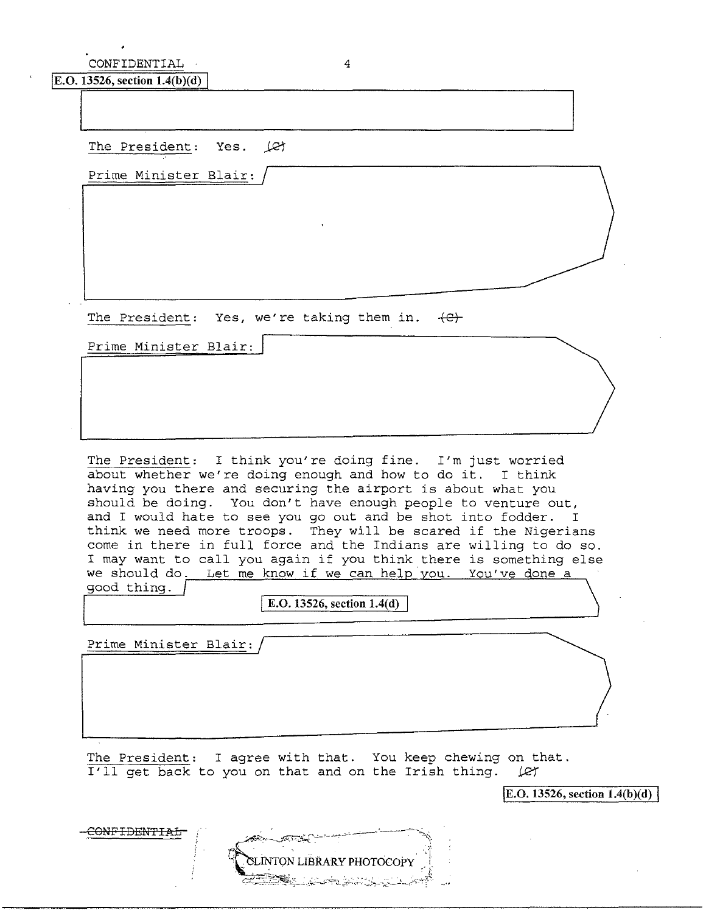CONFIDENTIAL 4

E.O. 13526, section  $1.4(b)(d)$ 

The President: Yes.  $\angle$ et

Prime Minister Blair:

The President: Yes, we're taking them in.  $\{e\}$ 

Prime Minister Blair:

The President: I think you're doing fine. I'm just worried about whether we're doing enough and how to do it. I think having you there and securing the airport is about what you should be doing. You don't have enough people to venture out, and I would hate to see you go out and be shot into fodder. I think we need more troops. They will be scared if the Nigerians come in there in full force and the Indians are willing to do so. I may want to call you again if you think there is something else we should do. Let me know if we can help you. You've done a good thing.

**E.O. 13526, section 1.4(d)** 

Prime Minister Blair:

The President: I agree with that. You keep chewing on that. I'll get back to you on that and on the Irish thing.  $\varphi$ 

 $\overline{[E.O. 13526, \text{section } 1.4(b)(d)]}$